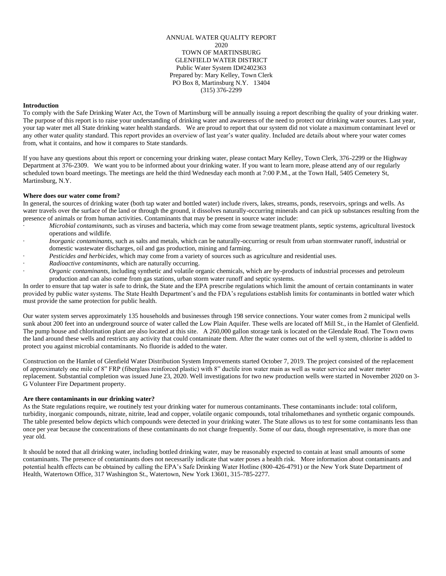### ANNUAL WATER QUALITY REPORT 2020 TOWN OF MARTINSBURG GLENFIELD WATER DISTRICT Public Water System ID#2402363 Prepared by: Mary Kelley, Town Clerk PO Box 8, Martinsburg N.Y. 13404 (315) 376-2299

### **Introduction**

To comply with the Safe Drinking Water Act, the Town of Martinsburg will be annually issuing a report describing the quality of your drinking water. The purpose of this report is to raise your understanding of drinking water and awareness of the need to protect our drinking water sources. Last year, your tap water met all State drinking water health standards. We are proud to report that our system did not violate a maximum contaminant level or any other water quality standard. This report provides an overview of last year's water quality. Included are details about where your water comes from, what it contains, and how it compares to State standards.

If you have any questions about this report or concerning your drinking water, please contact Mary Kelley, Town Clerk, 376-2299 or the Highway Department at 376-2309. We want you to be informed about your drinking water. If you want to learn more, please attend any of our regularly scheduled town board meetings. The meetings are held the third Wednesday each month at 7:00 P.M., at the Town Hall, 5405 Cemetery St, Martinsburg, N.Y.

### **Where does our water come from?**

In general, the sources of drinking water (both tap water and bottled water) include rivers, lakes, streams, ponds, reservoirs, springs and wells. As water travels over the surface of the land or through the ground, it dissolves naturally-occurring minerals and can pick up substances resulting from the presence of animals or from human activities. Contaminants that may be present in source water include:

- · *Microbial contaminants,* such as viruses and bacteria, which may come from sewage treatment plants, septic systems, agricultural livestock operations and wildlife.
- · *Inorganic contaminants,* such as salts and metals, which can be naturally-occurring or result from urban stormwater runoff, industrial or domestic wastewater discharges, oil and gas production, mining and farming.
- · *Pesticides and herbicides,* which may come from a variety of sources such as agriculture and residential uses.
- Radioactive contaminants, which are naturally occurring.
- · *Organic contaminants,* including synthetic and volatile organic chemicals, which are by-products of industrial processes and petroleum production and can also come from gas stations, urban storm water runoff and septic systems.

In order to ensure that tap water is safe to drink, the State and the EPA prescribe regulations which limit the amount of certain contaminants in water provided by public water systems. The State Health Department's and the FDA's regulations establish limits for contaminants in bottled water which must provide the same protection for public health.

Our water system serves approximately 135 households and businesses through 198 service connections. Your water comes from 2 municipal wells sunk about 200 feet into an underground source of water called the Low Plain Aquifer. These wells are located off Mill St., in the Hamlet of Glenfield. The pump house and chlorination plant are also located at this site. A 260,000 gallon storage tank is located on the Glendale Road. The Town owns the land around these wells and restricts any activity that could contaminate them. After the water comes out of the well system, chlorine is added to protect you against microbial contaminants. No fluoride is added to the water.

Construction on the Hamlet of Glenfield Water Distribution System Improvements started October 7, 2019. The project consisted of the replacement of approximately one mile of 8" FRP (fiberglass reinforced plastic) with 8" ductile iron water main as well as water service and water meter replacement. Substantial completion was issued June 23, 2020. Well investigations for two new production wells were started in November 2020 on 3- G Volunteer Fire Department property.

### **Are there contaminants in our drinking water?**

As the State regulations require, we routinely test your drinking water for numerous contaminants. These contaminants include: total coliform, turbidity, inorganic compounds, nitrate, nitrite, lead and copper, volatile organic compounds, total trihalomethanes and synthetic organic compounds. The table presented below depicts which compounds were detected in your drinking water. The State allows us to test for some contaminants less than once per year because the concentrations of these contaminants do not change frequently. Some of our data, though representative, is more than one year old.

It should be noted that all drinking water, including bottled drinking water, may be reasonably expected to contain at least small amounts of some contaminants. The presence of contaminants does not necessarily indicate that water poses a health risk. More information about contaminants and potential health effects can be obtained by calling the EPA's Safe Drinking Water Hotline (800-426-4791) or the New York State Department of Health, Watertown Office, 317 Washington St., Watertown, New York 13601, 315-785-2277.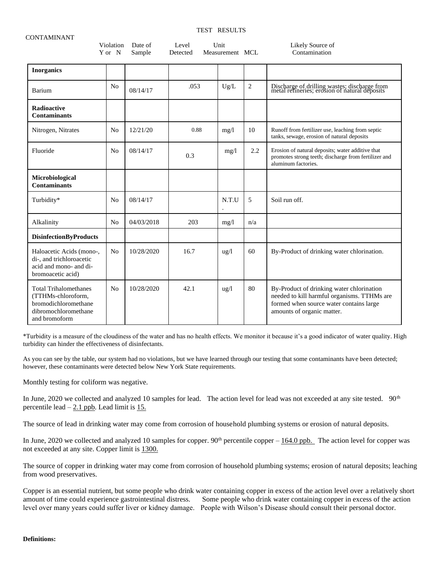CONTAMINANT

### TEST RESULTS

|                                                                                                                     | Violation<br>Y or N | Date of<br>Sample | Level<br>Detected | Unit<br>Measurement MCL |                | Likely Source of<br>Contamination                                                                                                                                 |
|---------------------------------------------------------------------------------------------------------------------|---------------------|-------------------|-------------------|-------------------------|----------------|-------------------------------------------------------------------------------------------------------------------------------------------------------------------|
| <b>Inorganics</b>                                                                                                   |                     |                   |                   |                         |                |                                                                                                                                                                   |
| Barium                                                                                                              | N <sub>0</sub>      | 08/14/17          | .053              | Ug/L                    | $\overline{2}$ | Discharge of drilling wastes; discharge from<br>metal refineries; erosion of natural deposits                                                                     |
| Radioactive<br><b>Contaminants</b>                                                                                  |                     |                   |                   |                         |                |                                                                                                                                                                   |
| Nitrogen, Nitrates                                                                                                  | N <sub>0</sub>      | 12/21/20          | 0.88              | mg/l                    | 10             | Runoff from fertilizer use, leaching from septic<br>tanks, sewage, erosion of natural deposits                                                                    |
| Fluoride                                                                                                            | N <sub>0</sub>      | 08/14/17          | 0.3               | mg/l                    | 2.2            | Erosion of natural deposits; water additive that<br>promotes strong teeth; discharge from fertilizer and<br>aluminum factories.                                   |
| Microbiological<br><b>Contaminants</b>                                                                              |                     |                   |                   |                         |                |                                                                                                                                                                   |
| Turbidity*                                                                                                          | N <sub>0</sub>      | 08/14/17          |                   | N.T.U                   | 5              | Soil run off.                                                                                                                                                     |
| Alkalinity                                                                                                          | N <sub>0</sub>      | 04/03/2018        | 203               | mg/1                    | n/a            |                                                                                                                                                                   |
| <b>DisinfectionByProducts</b>                                                                                       |                     |                   |                   |                         |                |                                                                                                                                                                   |
| Haloacetic Acids (mono-,<br>di-, and trichloroacetic<br>acid and mono- and di-<br>bromoacetic acid)                 | N <sub>0</sub>      | 10/28/2020        | 16.7              | $\frac{u g}{l}$         | 60             | By-Product of drinking water chlorination.                                                                                                                        |
| <b>Total Trihalomethanes</b><br>(TTHMs-chloroform,<br>bromodichloromethane<br>dibromochloromethane<br>and bromoform | N <sub>0</sub>      | 10/28/2020        | 42.1              | ug/l                    | 80             | By-Product of drinking water chlorination<br>needed to kill harmful organisms. TTHMs are<br>formed when source water contains large<br>amounts of organic matter. |

\*Turbidity is a measure of the cloudiness of the water and has no health effects. We monitor it because it's a good indicator of water quality. High turbidity can hinder the effectiveness of disinfectants.

As you can see by the table, our system had no violations, but we have learned through our testing that some contaminants have been detected; however, these contaminants were detected below New York State requirements.

Monthly testing for coliform was negative.

In June, 2020 we collected and analyzed 10 samples for lead. The action level for lead was not exceeded at any site tested.  $90<sup>th</sup>$ percentile lead  $-2.1$  ppb. Lead limit is  $15$ .

The source of lead in drinking water may come from corrosion of household plumbing systems or erosion of natural deposits.

In June, 2020 we collected and analyzed 10 samples for copper.  $90<sup>th</sup>$  percentile copper –  $164.0$  ppb. The action level for copper was not exceeded at any site. Copper limit is 1300.

The source of copper in drinking water may come from corrosion of household plumbing systems; erosion of natural deposits; leaching from wood preservatives.

Copper is an essential nutrient, but some people who drink water containing copper in excess of the action level over a relatively short amount of time could experience gastrointestinal distress. Some people who drink water containing copper in excess of the action level over many years could suffer liver or kidney damage. People with Wilson's Disease should consult their personal doctor.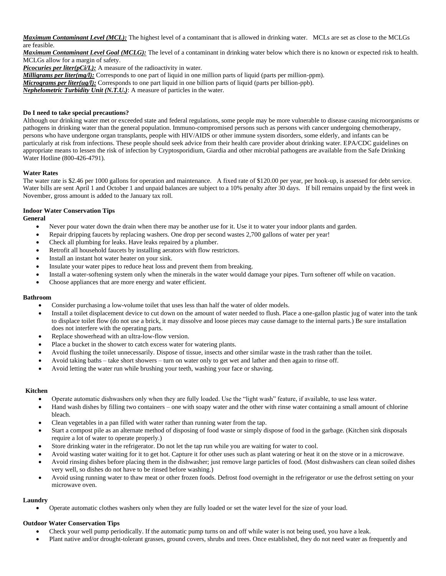*Maximum Contaminant Level (MCL)*: The highest level of a contaminant that is allowed in drinking water. MCLs are set as close to the MCLGs are feasible.

*Maximum Contaminant Level Goal (MCLG):* The level of a contaminant in drinking water below which there is no known or expected risk to health. MCLGs allow for a margin of safety.

*Picocuries per liter(pCi/L):* A measure of the radioactivity in water.

*Milligrams per liter(mg/l):* Corresponds to one part of liquid in one million parts of liquid (parts per million-ppm).

*Micrograms per liter(ug/l):* Corresponds to one part liquid in one billion parts of liquid (parts per billion-ppb).

*Nephelometric Turbidity Unit (N.T.U.)*: A measure of particles in the water.

## **Do I need to take special precautions?**

Although our drinking water met or exceeded state and federal regulations, some people may be more vulnerable to disease causing microorganisms or pathogens in drinking water than the general population. Immuno-compromised persons such as persons with cancer undergoing chemotherapy, persons who have undergone organ transplants, people with HIV/AIDS or other immune system disorders, some elderly, and infants can be particularly at risk from infections. These people should seek advice from their health care provider about drinking water. EPA/CDC guidelines on appropriate means to lessen the risk of infection by Cryptosporidium, Giardia and other microbial pathogens are available from the Safe Drinking Water Hotline (800-426-4791).

# **Water Rates**

The water rate is \$2.46 per 1000 gallons for operation and maintenance. A fixed rate of \$120.00 per year, per hook-up, is assessed for debt service. Water bills are sent April 1 and October 1 and unpaid balances are subject to a 10% penalty after 30 days. If bill remains unpaid by the first week in November, gross amount is added to the January tax roll.

# **Indoor Water Conservation Tips**

**General**

- Never pour water down the drain when there may be another use for it. Use it to water your indoor plants and garden.
- Repair dripping faucets by replacing washers. One drop per second wastes 2,700 gallons of water per year!
- Check all plumbing for leaks. Have leaks repaired by a plumber.
- Retrofit all household faucets by installing aerators with flow restrictors.
- Install an instant hot water heater on your sink.
- Insulate your water pipes to reduce heat loss and prevent them from breaking.
- Install a water-softening system only when the minerals in the water would damage your pipes. Turn softener off while on vacation.
- Choose appliances that are more energy and water efficient.

### **Bathroom**

- Consider purchasing a low-volume toilet that uses less than half the water of older models.
- Install a toilet displacement device to cut down on the amount of water needed to flush. Place a one-gallon plastic jug of water into the tank to displace toilet flow (do not use a brick, it may dissolve and loose pieces may cause damage to the internal parts.) Be sure installation does not interfere with the operating parts.
- Replace showerhead with an ultra-low-flow version.
- Place a bucket in the shower to catch excess water for watering plants.
- Avoid flushing the toilet unnecessarily. Dispose of tissue, insects and other similar waste in the trash rather than the toilet.
- Avoid taking baths take short showers turn on water only to get wet and lather and then again to rinse off.
- Avoid letting the water run while brushing your teeth, washing your face or shaving.

### **Kitchen**

- Operate automatic dishwashers only when they are fully loaded. Use the "light wash" feature, if available, to use less water.
- Hand wash dishes by filling two containers one with soapy water and the other with rinse water containing a small amount of chlorine bleach.
- Clean vegetables in a pan filled with water rather than running water from the tap.
- Start a compost pile as an alternate method of disposing of food waste or simply dispose of food in the garbage. (Kitchen sink disposals require a lot of water to operate properly.)
- Store drinking water in the refrigerator. Do not let the tap run while you are waiting for water to cool.
- Avoid wasting water waiting for it to get hot. Capture it for other uses such as plant watering or heat it on the stove or in a microwave.
- Avoid rinsing dishes before placing them in the dishwasher; just remove large particles of food. (Most dishwashers can clean soiled dishes very well, so dishes do not have to be rinsed before washing.)
- Avoid using running water to thaw meat or other frozen foods. Defrost food overnight in the refrigerator or use the defrost setting on your microwave oven.

# **Laundry**

• Operate automatic clothes washers only when they are fully loaded or set the water level for the size of your load.

### **Outdoor Water Conservation Tips**

- Check your well pump periodically. If the automatic pump turns on and off while water is not being used, you have a leak.
- Plant native and/or drought-tolerant grasses, ground covers, shrubs and trees. Once established, they do not need water as frequently and